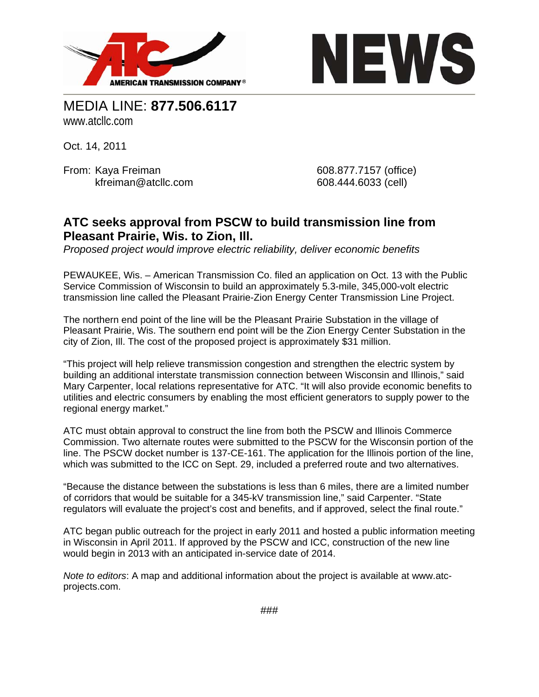



MEDIA LINE: **877.506.6117**  www.atcllc.com

Oct. 14, 2011

From: Kaya Freiman 608.877.7157 (office) kfreiman@atcllc.com 608.444.6033 (cell)

## **ATC seeks approval from PSCW to build transmission line from Pleasant Prairie, Wis. to Zion, Ill.**

*Proposed project would improve electric reliability, deliver economic benefits* 

PEWAUKEE, Wis. – American Transmission Co. filed an application on Oct. 13 with the Public Service Commission of Wisconsin to build an approximately 5.3-mile, 345,000-volt electric transmission line called the Pleasant Prairie-Zion Energy Center Transmission Line Project.

The northern end point of the line will be the Pleasant Prairie Substation in the village of Pleasant Prairie, Wis. The southern end point will be the Zion Energy Center Substation in the city of Zion, Ill. The cost of the proposed project is approximately \$31 million.

"This project will help relieve transmission congestion and strengthen the electric system by building an additional interstate transmission connection between Wisconsin and Illinois," said Mary Carpenter, local relations representative for ATC. "It will also provide economic benefits to utilities and electric consumers by enabling the most efficient generators to supply power to the regional energy market."

ATC must obtain approval to construct the line from both the PSCW and Illinois Commerce Commission. Two alternate routes were submitted to the PSCW for the Wisconsin portion of the line. The PSCW docket number is 137-CE-161. The application for the Illinois portion of the line, which was submitted to the ICC on Sept. 29, included a preferred route and two alternatives.

"Because the distance between the substations is less than 6 miles, there are a limited number of corridors that would be suitable for a 345-kV transmission line," said Carpenter. "State regulators will evaluate the project's cost and benefits, and if approved, select the final route."

ATC began public outreach for the project in early 2011 and hosted a public information meeting in Wisconsin in April 2011. If approved by the PSCW and ICC, construction of the new line would begin in 2013 with an anticipated in-service date of 2014.

*Note to editors*: A map and additional information about the project is available at www.atcprojects.com.